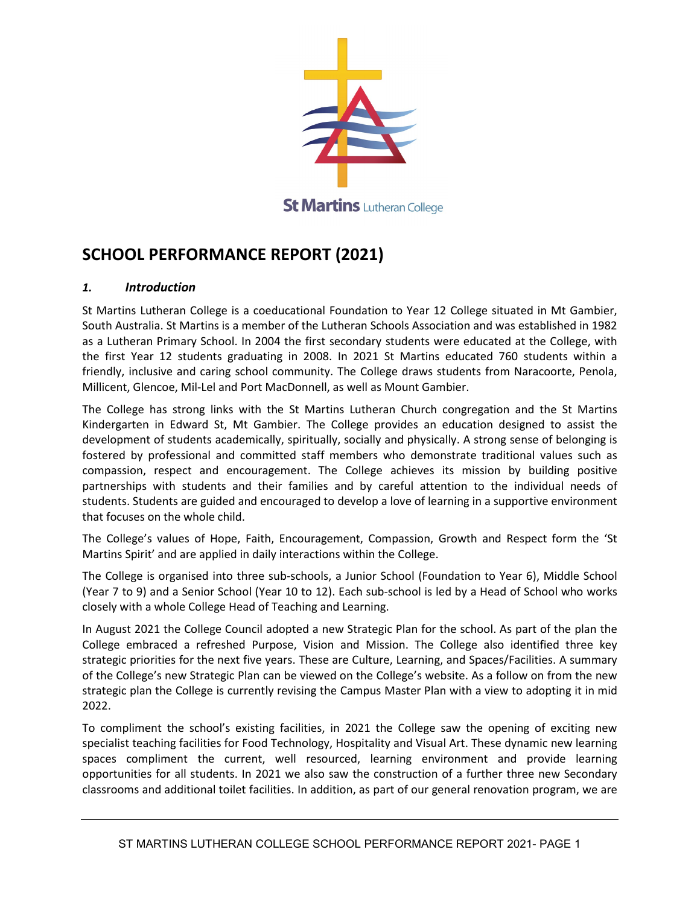

# **SCHOOL PERFORMANCE REPORT (2021)**

#### *1. Introduction*

St Martins Lutheran College is a coeducational Foundation to Year 12 College situated in Mt Gambier, South Australia. St Martins is a member of the Lutheran Schools Association and was established in 1982 as a Lutheran Primary School. In 2004 the first secondary students were educated at the College, with the first Year 12 students graduating in 2008. In 2021 St Martins educated 760 students within a friendly, inclusive and caring school community. The College draws students from Naracoorte, Penola, Millicent, Glencoe, Mil-Lel and Port MacDonnell, as well as Mount Gambier.

The College has strong links with the St Martins Lutheran Church congregation and the St Martins Kindergarten in Edward St, Mt Gambier. The College provides an education designed to assist the development of students academically, spiritually, socially and physically. A strong sense of belonging is fostered by professional and committed staff members who demonstrate traditional values such as compassion, respect and encouragement. The College achieves its mission by building positive partnerships with students and their families and by careful attention to the individual needs of students. Students are guided and encouraged to develop a love of learning in a supportive environment that focuses on the whole child.

The College's values of Hope, Faith, Encouragement, Compassion, Growth and Respect form the 'St Martins Spirit' and are applied in daily interactions within the College.

The College is organised into three sub-schools, a Junior School (Foundation to Year 6), Middle School (Year 7 to 9) and a Senior School (Year 10 to 12). Each sub-school is led by a Head of School who works closely with a whole College Head of Teaching and Learning.

In August 2021 the College Council adopted a new Strategic Plan for the school. As part of the plan the College embraced a refreshed Purpose, Vision and Mission. The College also identified three key strategic priorities for the next five years. These are Culture, Learning, and Spaces/Facilities. A summary of the College's new Strategic Plan can be viewed on the College's website. As a follow on from the new strategic plan the College is currently revising the Campus Master Plan with a view to adopting it in mid 2022.

To compliment the school's existing facilities, in 2021 the College saw the opening of exciting new specialist teaching facilities for Food Technology, Hospitality and Visual Art. These dynamic new learning spaces compliment the current, well resourced, learning environment and provide learning opportunities for all students. In 2021 we also saw the construction of a further three new Secondary classrooms and additional toilet facilities. In addition, as part of our general renovation program, we are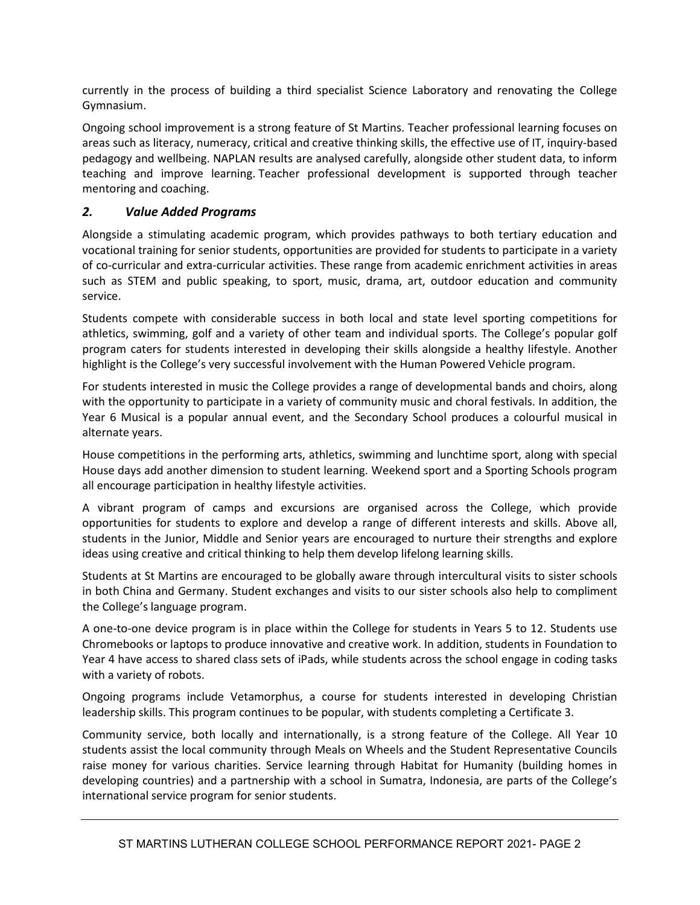currently in the process of building a third specialist Science Laboratory and renovating the College Gymnasium.

Ongoing school improvement is a strong feature of St Martins. Teacher professional learning focuses on areas such as literacy, numeracy, critical and creative thinking skills, the effective use of IT, inquiry-based pedagogy and wellbeing. NAPLAN results are analysed carefully, alongside other student data, to inform teaching and improve learning. Teacher professional development is supported through teacher mentoring and coaching.

#### *2. Value Added Programs*

Alongside a stimulating academic program, which provides pathways to both tertiary education and vocational training for senior students, opportunities are provided for students to participate in a variety of co-curricular and extra-curricular activities. These range from academic enrichment activities in areas such as STEM and public speaking, to sport, music, drama, art, outdoor education and community service.

Students compete with considerable success in both local and state level sporting competitions for athletics, swimming, golf and a variety of other team and individual sports. The College's popular golf program caters for students interested in developing their skills alongside a healthy lifestyle. Another highlight is the College's very successful involvement with the Human Powered Vehicle program.

For students interested in music the College provides a range of developmental bands and choirs, along with the opportunity to participate in a variety of community music and choral festivals. In addition, the Year 6 Musical is a popular annual event, and the Secondary School produces a colourful musical in alternate years.

House competitions in the performing arts, athletics, swimming and lunchtime sport, along with special House days add another dimension to student learning. Weekend sport and a Sporting Schools program all encourage participation in healthy lifestyle activities.

A vibrant program of camps and excursions are organised across the College, which provide opportunities for students to explore and develop a range of different interests and skills. Above all, students in the Junior, Middle and Senior years are encouraged to nurture their strengths and explore ideas using creative and critical thinking to help them develop lifelong learning skills.

Students at St Martins are encouraged to be globally aware through intercultural visits to sister schools in both China and Germany. Student exchanges and visits to our sister schools also help to compliment the College's language program.

A one-to-one device program is in place within the College for students in Years 5 to 12. Students use Chromebooks or laptops to produce innovative and creative work. In addition, students in Foundation to Year 4 have access to shared class sets of iPads, while students across the school engage in coding tasks with a variety of robots.

Ongoing programs include Vetamorphus, a course for students interested in developing Christian leadership skills. This program continues to be popular, with students completing a Certificate 3.

Community service, both locally and internationally, is a strong feature of the College. All Year 10 students assist the local community through Meals on Wheels and the Student Representative Councils raise money for various charities. Service learning through Habitat for Humanity (building homes in developing countries) and a partnership with a school in Sumatra, Indonesia, are parts of the College's international service program for senior students.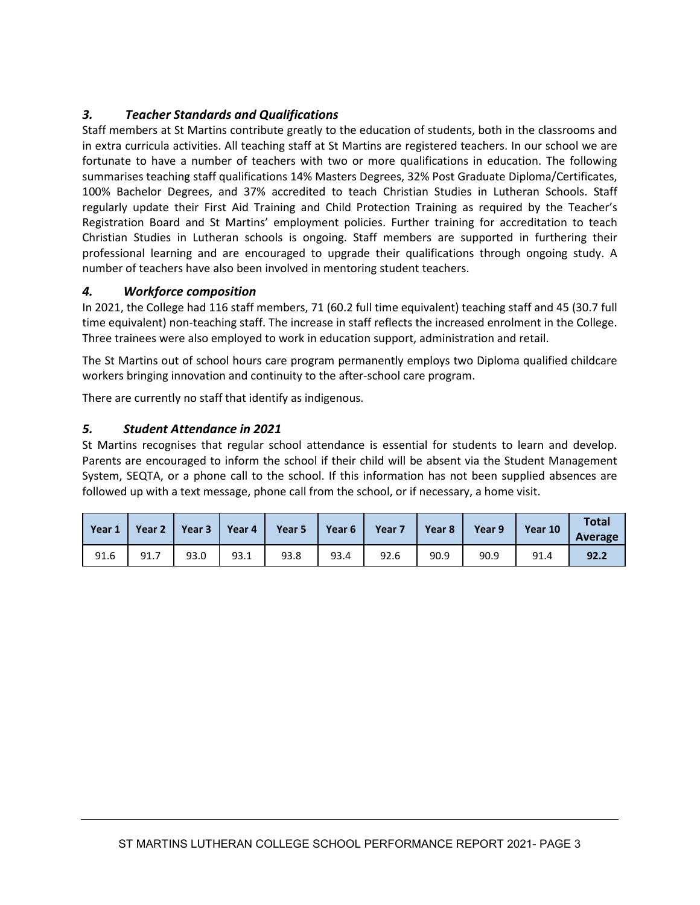### *3. Teacher Standards and Qualifications*

Staff members at St Martins contribute greatly to the education of students, both in the classrooms and in extra curricula activities. All teaching staff at St Martins are registered teachers. In our school we are fortunate to have a number of teachers with two or more qualifications in education. The following summarises teaching staff qualifications 14% Masters Degrees, 32% Post Graduate Diploma/Certificates, 100% Bachelor Degrees, and 37% accredited to teach Christian Studies in Lutheran Schools. Staff regularly update their First Aid Training and Child Protection Training as required by the Teacher's Registration Board and St Martins' employment policies. Further training for accreditation to teach Christian Studies in Lutheran schools is ongoing. Staff members are supported in furthering their professional learning and are encouraged to upgrade their qualifications through ongoing study. A number of teachers have also been involved in mentoring student teachers.

#### *4. Workforce composition*

In 2021, the College had 116 staff members, 71 (60.2 full time equivalent) teaching staff and 45 (30.7 full time equivalent) non-teaching staff. The increase in staff reflects the increased enrolment in the College. Three trainees were also employed to work in education support, administration and retail.

The St Martins out of school hours care program permanently employs two Diploma qualified childcare workers bringing innovation and continuity to the after-school care program.

There are currently no staff that identify as indigenous.

#### *5. Student Attendance in 2021*

St Martins recognises that regular school attendance is essential for students to learn and develop. Parents are encouraged to inform the school if their child will be absent via the Student Management System, SEQTA, or a phone call to the school. If this information has not been supplied absences are followed up with a text message, phone call from the school, or if necessary, a home visit.

| Year 1 | Year 2 $\parallel$ |      |      | Year 3   Year 4   Year 5 | Year 6 $\parallel$ | Year 7 Year 8 |      | Year 9 | Year 10 | <b>Total</b><br>Average |
|--------|--------------------|------|------|--------------------------|--------------------|---------------|------|--------|---------|-------------------------|
| 91.6   | 91.7               | 93.0 | 93.1 | 93.8                     | 93.4               | 92.6          | 90.9 | 90.9   | 91.4    | 92.2                    |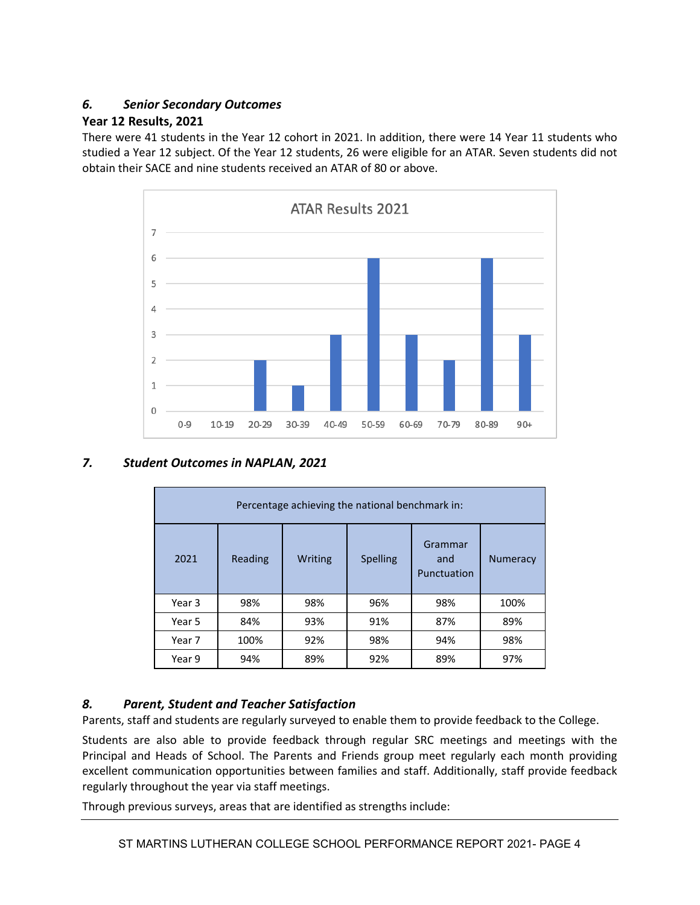#### *6. Senior Secondary Outcomes*

#### **Year 12 Results, 2021**

There were 41 students in the Year 12 cohort in 2021. In addition, there were 14 Year 11 students who studied a Year 12 subject. Of the Year 12 students, 26 were eligible for an ATAR. Seven students did not obtain their SACE and nine students received an ATAR of 80 or above.



#### *7. Student Outcomes in NAPLAN, 2021*

| Percentage achieving the national benchmark in: |         |         |                 |                               |                 |  |
|-------------------------------------------------|---------|---------|-----------------|-------------------------------|-----------------|--|
| 2021                                            | Reading | Writing | <b>Spelling</b> | Grammar<br>and<br>Punctuation | <b>Numeracy</b> |  |
| Year 3                                          | 98%     | 98%     | 96%             | 98%                           | 100%            |  |
| Year 5                                          | 84%     | 93%     | 91%             | 87%                           | 89%             |  |
| Year 7                                          | 100%    | 92%     | 98%             | 94%                           | 98%             |  |
| Year 9                                          | 94%     | 89%     | 92%             | 89%                           | 97%             |  |

#### *8. Parent, Student and Teacher Satisfaction*

Parents, staff and students are regularly surveyed to enable them to provide feedback to the College.

Students are also able to provide feedback through regular SRC meetings and meetings with the Principal and Heads of School. The Parents and Friends group meet regularly each month providing excellent communication opportunities between families and staff. Additionally, staff provide feedback regularly throughout the year via staff meetings.

Through previous surveys, areas that are identified as strengths include: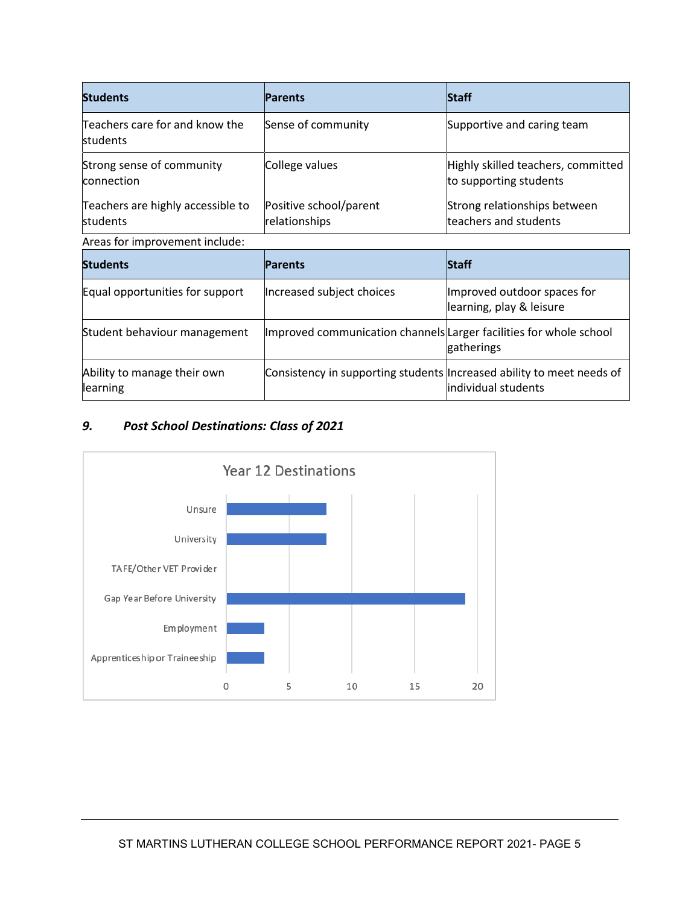| <b>Students</b>                               | <b>Parents</b>                                                        | <b>Staff</b>                                                 |  |  |  |  |
|-----------------------------------------------|-----------------------------------------------------------------------|--------------------------------------------------------------|--|--|--|--|
| Teachers care for and know the<br>students    | Sense of community                                                    | Supportive and caring team                                   |  |  |  |  |
| Strong sense of community<br>connection       | College values                                                        | Highly skilled teachers, committed<br>to supporting students |  |  |  |  |
| Teachers are highly accessible to<br>students | Positive school/parent<br>relationships                               | Strong relationships between<br>teachers and students        |  |  |  |  |
| Areas for improvement include:                |                                                                       |                                                              |  |  |  |  |
| <b>Students</b>                               | <b>Parents</b>                                                        | <b>Staff</b>                                                 |  |  |  |  |
| Equal opportunities for support               | Increased subject choices                                             | Improved outdoor spaces for<br>learning, play & leisure      |  |  |  |  |
| Student behaviour management                  | Improved communication channels Larger facilities for whole school    | gatherings                                                   |  |  |  |  |
| Ability to manage their own<br>learning       | Consistency in supporting students Increased ability to meet needs of | individual students                                          |  |  |  |  |

## *9. Post School Destinations: Class of 2021*